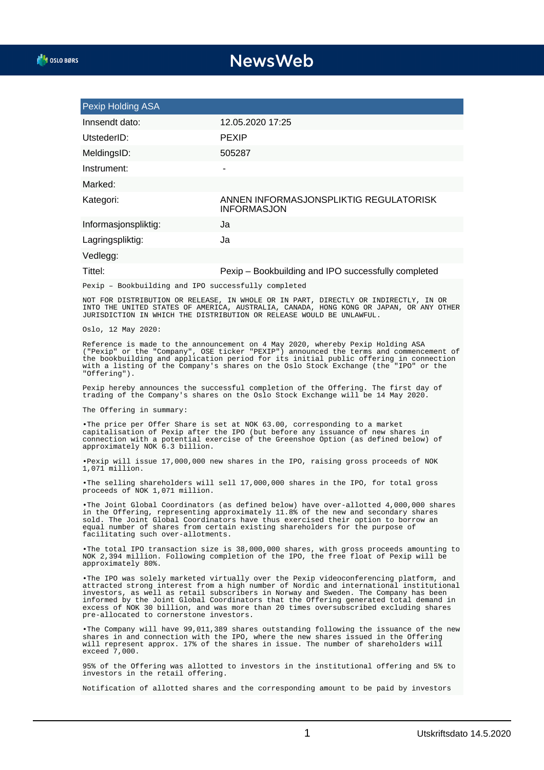## **NewsWeb**

| Pexip Holding ASA                                                                                                                                                                                                                                                                                                                                                        |                                                              |
|--------------------------------------------------------------------------------------------------------------------------------------------------------------------------------------------------------------------------------------------------------------------------------------------------------------------------------------------------------------------------|--------------------------------------------------------------|
| Innsendt dato:                                                                                                                                                                                                                                                                                                                                                           | 12.05.2020 17:25                                             |
| UtstederID:                                                                                                                                                                                                                                                                                                                                                              | <b>PEXIP</b>                                                 |
| MeldingsID:                                                                                                                                                                                                                                                                                                                                                              | 505287                                                       |
| Instrument:                                                                                                                                                                                                                                                                                                                                                              |                                                              |
| Marked:                                                                                                                                                                                                                                                                                                                                                                  |                                                              |
| Kategori:                                                                                                                                                                                                                                                                                                                                                                | ANNEN INFORMASJONSPLIKTIG REGULATORISK<br><b>INFORMASJON</b> |
| Informasjonspliktig:                                                                                                                                                                                                                                                                                                                                                     | Ja                                                           |
| Lagringspliktig:                                                                                                                                                                                                                                                                                                                                                         | Ja                                                           |
| Vedlegg:                                                                                                                                                                                                                                                                                                                                                                 |                                                              |
| Tittel:                                                                                                                                                                                                                                                                                                                                                                  | Pexip - Bookbuilding and IPO successfully completed          |
| Pexip - Bookbuilding and IPO successfully completed                                                                                                                                                                                                                                                                                                                      |                                                              |
| NOT FOR DISTRIBUTION OR RELEASE, IN WHOLE OR IN PART, DIRECTLY OR INDIRECTLY, IN OR<br>INTO THE UNITED STATES OF AMERICA, AUSTRALIA, CANADA, HONG KONG OR JAPAN, OR ANY OTHER<br>JURISDICTION IN WHICH THE DISTRIBUTION OR RELEASE WOULD BE UNLAWFUL.                                                                                                                    |                                                              |
| Oslo, 12 May 2020:                                                                                                                                                                                                                                                                                                                                                       |                                                              |
| Reference is made to the announcement on 4 May 2020, whereby Pexip Holding ASA<br>("Pexip" or the "Company", OSE ticker "PEXIP") announced the terms and commencement of<br>the bookbuilding and application period for its initial public offering in connection<br>with a listing of the Company's shares on the Oslo Stock Exchange (the "IPO" or the<br>"Offering"). |                                                              |
| Pexip hereby announces the successful completion of the Offering. The first day of<br>trading of the Company's shares on the Oslo Stock Exchange will be 14 May 2020.                                                                                                                                                                                                    |                                                              |
| The Offering in summary:                                                                                                                                                                                                                                                                                                                                                 |                                                              |
| . The price per Offer Share is set at NOK 63.00, corresponding to a market<br>contraligation of Dovin after the IDO (but before any ideusness of now shares in                                                                                                                                                                                                           |                                                              |

capitalisation of Pexip after the IPO (but before any issuance of new shares in connection with a potential exercise of the Greenshoe Option (as defined below) of approximately NOK 6.3 billion.

Pexip will issue 17,000,000 new shares in the IPO, raising gross proceeds of NOK 1,071 million.

• The selling shareholders will sell 17,000,000 shares in the IPO, for total gross proceeds of NOK 1,071 million.

• The Joint Global Coordinators (as defined below) have over-allotted 4,000,000 shares in the Offering, representing approximately 11.8% of the new and secondary shares sold. The Joint Global Coordinators have thus exercised their option to borrow an equal number of shares from certain existing shareholders for the purpose of facilitating such over-allotments.

• The total IPO transaction size is 38,000,000 shares, with gross proceeds amounting to NOK 2,394 million. Following completion of the IPO, the free float of Pexip will be approximately 80%.

• The IPO was solely marketed virtually over the Pexip videoconferencing platform, and attracted strong interest from a high number of Nordic and international institutional investors, as well as retail subscribers in Norway and Sweden. The Company has been informed by the Joint Global Coordinators that the Offering generated total demand in excess of NOK 30 billion, and was more than 20 times oversubscribed excluding shares pre-allocated to cornerstone investors.

• The Company will have 99,011,389 shares outstanding following the issuance of the new shares in and connection with the IPO, where the new shares issued in the Offering will represent approx. 17% of the shares in issue. The number of shareholders will exceed 7,000.

95% of the Offering was allotted to investors in the institutional offering and 5% to investors in the retail offering.

Notification of allotted shares and the corresponding amount to be paid by investors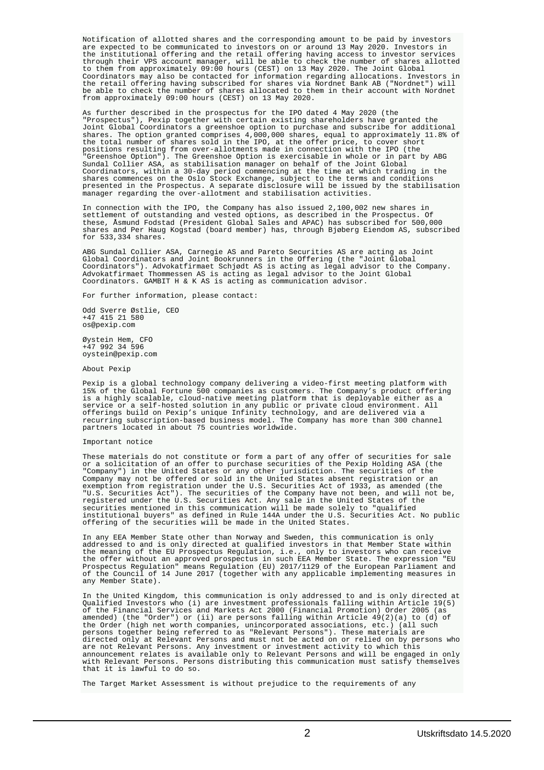Notification of allotted shares and the corresponding amount to be paid by investors are expected to be communicated to investors on or around 13 May 2020. Investors in the institutional offering and the retail offering having access to investor services through their VPS account manager, will be able to check the number of shares allotted to them from approximately 09:00 hours (CEST) on 13 May 2020. The Joint Global Coordinators may also be contacted for information regarding allocations. Investors in the retail offering having subscribed for shares via Nordnet Bank AB ("Nordnet") will be able to check the number of shares allocated to them in their account with Nordnet from approximately 09:00 hours (CEST) on 13 May 2020.

As further described in the prospectus for the IPO dated 4 May 2020 (the "Prospectus"), Pexip together with certain existing shareholders have granted the Joint Global Coordinators a greenshoe option to purchase and subscribe for additional shares. The option granted comprises 4,000,000 shares, equal to approximately 11.8% of the total number of shares sold in the IPO, at the offer price, to cover short positions resulting from over-allotments made in connection with the IPO (the "Greenshoe Option"). The Greenshoe Option is exercisable in whole or in part by ABG Sundal Collier ASA, as stabilisation manager on behalf of the Joint Global Coordinators, within a 30-day period commencing at the time at which trading in the shares commences on the Oslo Stock Exchange, subject to the terms and conditions presented in the Prospectus. A separate disclosure will be issued by the stabilisation manager regarding the over-allotment and stabilisation activities.

In connection with the IPO, the Company has also issued 2,100,002 new shares in settlement of outstanding and vested options, as described in the Prospectus. Of these, Åsmund Fodstad (President Global Sales and APAC) has subscribed for 500,000 shares and Per Haug Kogstad (board member) has, through Bjøberg Eiendom AS, subscribed for 533,334 shares.

ABG Sundal Collier ASA, Carnegie AS and Pareto Securities AS are acting as Joint Global Coordinators and Joint Bookrunners in the Offering (the "Joint Global Coordinators"). Advokatfirmaet Schjødt AS is acting as legal advisor to the Company. Advokatfirmaet Thommessen AS is acting as legal advisor to the Joint Global Coordinators. GAMBIT H & K AS is acting as communication advisor.

For further information, please contact:

Odd Sverre Østlie, CEO +47 415 21 580 os@pexip.com

Øystein Hem, CFO +47 992 34 596 oystein@pexip.com

About Pexip

Pexip is a global technology company delivering a video-first meeting platform with 15% of the Global Fortune 500 companies as customers. The Company's product offering is a highly scalable, cloud-native meeting platform that is deployable either as a service or a self-hosted solution in any public or private cloud environment. All offerings build on Pexip's unique Infinity technology, and are delivered via a recurring subscription-based business model. The Company has more than 300 channel partners located in about 75 countries worldwide.

## Important notice

These materials do not constitute or form a part of any offer of securities for sale or a solicitation of an offer to purchase securities of the Pexip Holding ASA (the "Company") in the United States or any other jurisdiction. The securities of the Company may not be offered or sold in the United States absent registration or an exemption from registration under the U.S. Securities Act of 1933, as amended (the "U.S. Securities Act"). The securities of the Company have not been, and will not be, registered under the U.S. Securities Act. Any sale in the United States of the securities mentioned in this communication will be made solely to "qualified institutional buyers" as defined in Rule 144A under the U.S. Securities Act. No public offering of the securities will be made in the United States.

In any EEA Member State other than Norway and Sweden, this communication is only addressed to and is only directed at qualified investors in that Member State within the meaning of the EU Prospectus Regulation, i.e., only to investors who can receive the offer without an approved prospectus in such EEA Member State. The expression "EU Prospectus Regulation" means Regulation (EU) 2017/1129 of the European Parliament and of the Council of 14 June 2017 (together with any applicable implementing measures in any Member State).

In the United Kingdom, this communication is only addressed to and is only directed at Qualified Investors who (i) are investment professionals falling within Article 19(5) of the Financial Services and Markets Act 2000 (Financial Promotion) Order 2005 (as amended) (the "Order") or (ii) are persons falling within Article 49(2)(a) to (d) of the Order (high net worth companies, unincorporated associations, etc.) (all such persons together being referred to as "Relevant Persons"). These materials are directed only at Relevant Persons and must not be acted on or relied on by persons who are not Relevant Persons. Any investment or investment activity to which this announcement relates is available only to Relevant Persons and will be engaged in only with Relevant Persons. Persons distributing this communication must satisfy themselves that it is lawful to do so.

The Target Market Assessment is without prejudice to the requirements of any